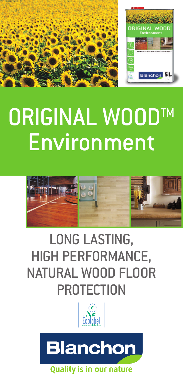

# ORIGINAL WOODTM **Environment**



# LONG LASTING, HIGH PERFORMANCE, NATURAL WOOD FLOOR **PROTECTION**



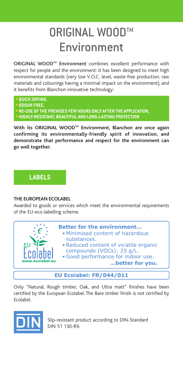# ORIGINAL WOOD™ Environment

ORIGINAL WOOD<sup>™</sup> Environment combines excellent performance with respect for people and the environment: it has been designed to meet high environmental standards (very low V.O.C. level, waste-free production, raw materials and colourings having a minimal impact on the environment), and it benefits from Blanchon innovative technology:

- **QUICK DRYING.**
- **ODOUR FREE,**
- **RE-USE OF THE PREMISES FEW HOURS ONLY AFTER THE APPLICATION,**
- **HIGHLY-RESISTANT, BEAUTIFUL AND LONG-LASTING PROTECTION**

**With its ORIGINAL WOODTM Environment, Blanchon are once again confirming its environmentally-friendly spirit of innovation, and demonstrate that performance and respect for the environment can go well together.**

## **LABELS**

#### **THE EUROPEAN ECOLABEL**

Awarded to goods or services which meet the environmental requirements of the EU-eco-labelling scheme.



### EU Ecolabel: FR/044/011

Only "Natural, Rough timber, Oak, and Ultra matt" finishes have been certified by the European Ecolabel. The Bare timber finish is not certified by Ecolabel.



Slip-resistant product according to DIN-Standard DIN 51 130-R9.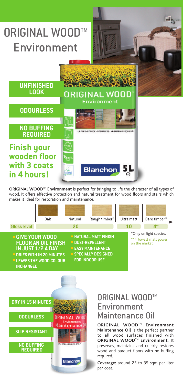

**ORIGINAL WOODTM Environment** is perfect for bringing to life the character of all types of wood. It offers effective protection and natural treatment for wood floors and stairs which makes it ideal for restoration and maintenance.





# ORIGINAL WOOD™ Environment Maintenance Oil

**ORIGINAL WOODTM Environment Maintenance Oil** is the perfect partner to all wood surfaces finished with **ORIGINAL WOODTM Environment**. It preserves, maintains and quickly restores wood and parquet floors with no buffing required.

**Coverage:** around 25 to 35 sqm per liter per coat.